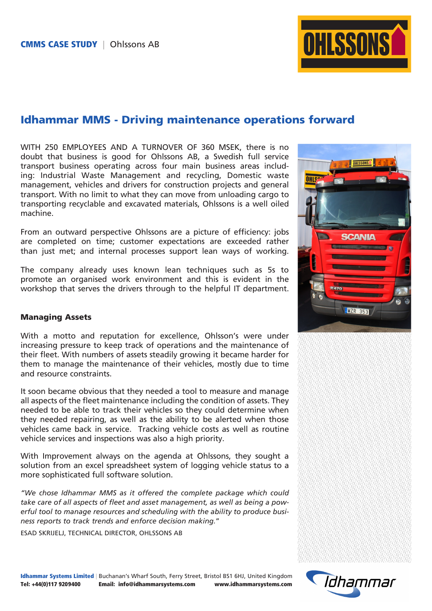

## Idhammar MMS - Driving maintenance operations forward

WITH 250 EMPLOYEES AND A TURNOVER OF 360 MSEK, there is no doubt that business is good for Ohlssons AB, a Swedish full service transport business operating across four main business areas including: Industrial Waste Management and recycling, Domestic waste management, vehicles and drivers for construction projects and general transport. With no limit to what they can move from unloading cargo to transporting recyclable and excavated materials, Ohlssons is a well oiled machine.

From an outward perspective Ohlssons are a picture of efficiency: jobs are completed on time; customer expectations are exceeded rather than just met; and internal processes support lean ways of working.

The company already uses known lean techniques such as 5s to promote an organised work environment and this is evident in the workshop that serves the drivers through to the helpful IT department.

## Managing Assets

With a motto and reputation for excellence, Ohlsson's were under increasing pressure to keep track of operations and the maintenance of their fleet. With numbers of assets steadily growing it became harder for them to manage the maintenance of their vehicles, mostly due to time and resource constraints.

It soon became obvious that they needed a tool to measure and manage all aspects of the fleet maintenance including the condition of assets. They needed to be able to track their vehicles so they could determine when they needed repairing, as well as the ability to be alerted when those vehicles came back in service. Tracking vehicle costs as well as routine vehicle services and inspections was also a high priority.

With Improvement always on the agenda at Ohlssons, they sought a solution from an excel spreadsheet system of logging vehicle status to a more sophisticated full software solution.

*"We chose Idhammar MMS as it offered the complete package which could take care of all aspects of fleet and asset management, as well as being a powerful tool to manage resources and scheduling with the ability to produce business reports to track trends and enforce decision making.*"

ESAD SKRIJELJ, TECHNICAL DIRECTOR, OHLSSONS AB